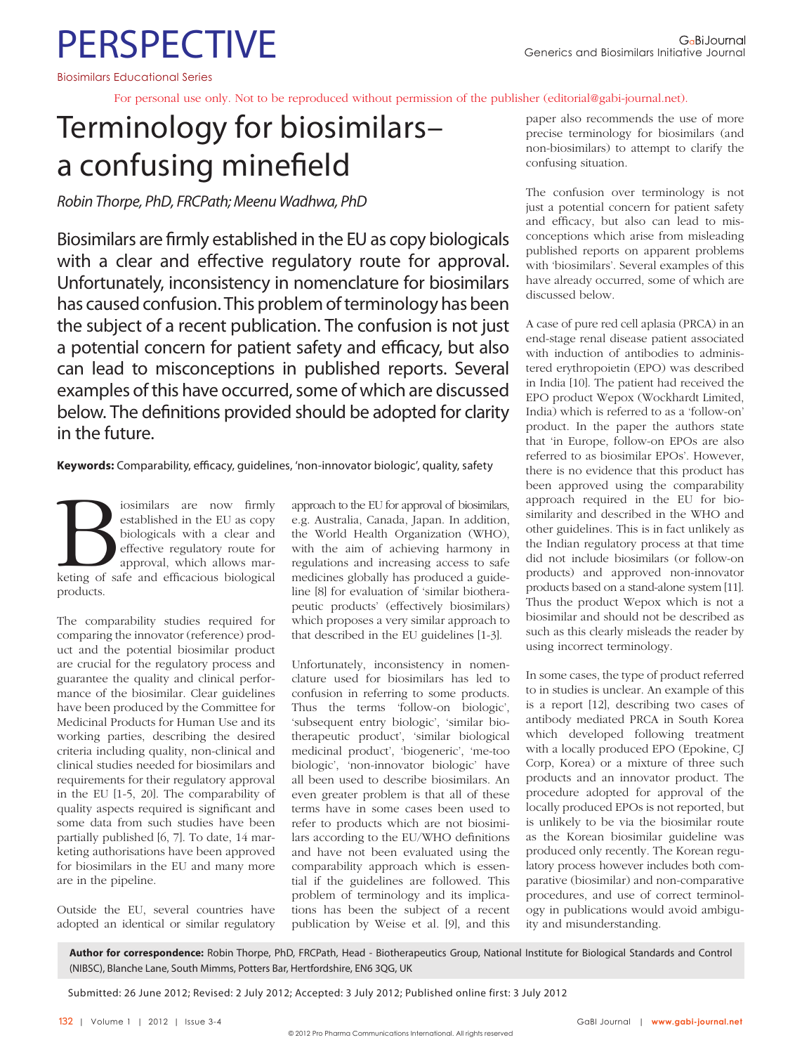# **PERSPECTIVE**

Biosimilars Educational Series

For personal use only. Not to be reproduced without permission of the publisher (editorial@gabi-journal.net).

## Terminology for biosimilars– a confusing minefield

Robin Thorpe, PhD, FRCPath; Meenu Wadhwa, PhD

Biosimilars are firmly established in the EU as copy biologicals with a clear and effective regulatory route for approval. Unfortunately, inconsistency in nomenclature for biosimilars has caused confusion. This problem of terminology has been the subject of a recent publication. The confusion is not just a potential concern for patient safety and efficacy, but also can lead to misconceptions in published reports. Several examples of this have occurred, some of which are discussed below. The definitions provided should be adopted for clarity in the future.

Keywords: Comparability, efficacy, guidelines, 'non-innovator biologic', quality, safety

Figure 1 is imilars are now firmly established in the EU as copy biologicals with a clear and effective regulatory route for approval, which allows marketing of safe and efficacious biological established in the EU as copy biologicals with a clear and effective regulatory route for approval, which allows marproducts.

The comparability studies required for comparing the innovator (reference) product and the potential biosimilar product are crucial for the regulatory process and guarantee the quality and clinical performance of the biosimilar. Clear guidelines have been produced by the Committee for Medicinal Products for Human Use and its working parties, describing the desired criteria including quality, non-clinical and clinical studies needed for biosimilars and requirements for their regulatory approval in the EU [1-5, 20]. The comparability of quality aspects required is significant and some data from such studies have been partially published [6, 7]. To date, 14 marketing authorisations have been approved for biosimilars in the EU and many more are in the pipeline.

Outside the EU, several countries have adopted an identical or similar regulatory approach to the EU for approval of biosimilars, e.g. Australia, Canada, Japan. In addition, the World Health Organization (WHO), with the aim of achieving harmony in regulations and increasing access to safe medicines globally has produced a guideline [8] for evaluation of 'similar biotherapeutic products' (effectively biosimilars) which proposes a very similar approach to that described in the EU guidelines [1-3].

Unfortunately, inconsistency in nomenclature used for biosimilars has led to confusion in referring to some products. Thus the terms 'follow-on biologic', 'subsequent entry biologic', 'similar biotherapeutic product', 'similar biological medicinal product', 'biogeneric', 'me-too biologic', 'non-innovator biologic' have all been used to describe biosimilars. An even greater problem is that all of these terms have in some cases been used to refer to products which are not biosimilars according to the EU/WHO definitions and have not been evaluated using the comparability approach which is essential if the guidelines are followed. This problem of terminology and its implications has been the subject of a recent publication by Weise et al. [9], and this

paper also recommends the use of more precise terminology for biosimilars (and non-biosimilars) to attempt to clarify the confusing situation.

The confusion over terminology is not just a potential concern for patient safety and efficacy, but also can lead to misconceptions which arise from misleading published reports on apparent problems with 'biosimilars'. Several examples of this have already occurred, some of which are discussed below.

A case of pure red cell aplasia (PRCA) in an end-stage renal disease patient associated with induction of antibodies to administered erythropoietin (EPO) was described in India [10]. The patient had received the EPO product Wepox (Wockhardt Limited, India) which is referred to as a 'follow-on' product. In the paper the authors state that 'in Europe, follow-on EPOs are also referred to as biosimilar EPOs'. However, there is no evidence that this product has been approved using the comparability approach required in the EU for biosimilarity and described in the WHO and other guidelines. This is in fact unlikely as the Indian regulatory process at that time did not include biosimilars (or follow-on products) and approved non-innovator products based on a stand-alone system [11]. Thus the product Wepox which is not a biosimilar and should not be described as such as this clearly misleads the reader by using incorrect terminology.

In some cases, the type of product referred to in studies is unclear. An example of this is a report [12], describing two cases of antibody mediated PRCA in South Korea which developed following treatment with a locally produced EPO (Epokine, CJ Corp, Korea) or a mixture of three such products and an innovator product. The procedure adopted for approval of the locally produced EPOs is not reported, but is unlikely to be via the biosimilar route as the Korean biosimilar guideline was produced only recently. The Korean regulatory process however includes both comparative (biosimilar) and non-comparative procedures, and use of correct terminology in publications would avoid ambiguity and misunderstanding.

**Author for correspondence:** Robin Thorpe, PhD, FRCPath, Head - Biotherapeutics Group, National Institute for Biological Standards and Control (NIBSC), Blanche Lane, South Mimms, Potters Bar, Hertfordshire, EN6 3QG, UK

Submitted: 26 June 2012; Revised: 2 July 2012; Accepted: 3 July 2012; Published online first: 3 July 2012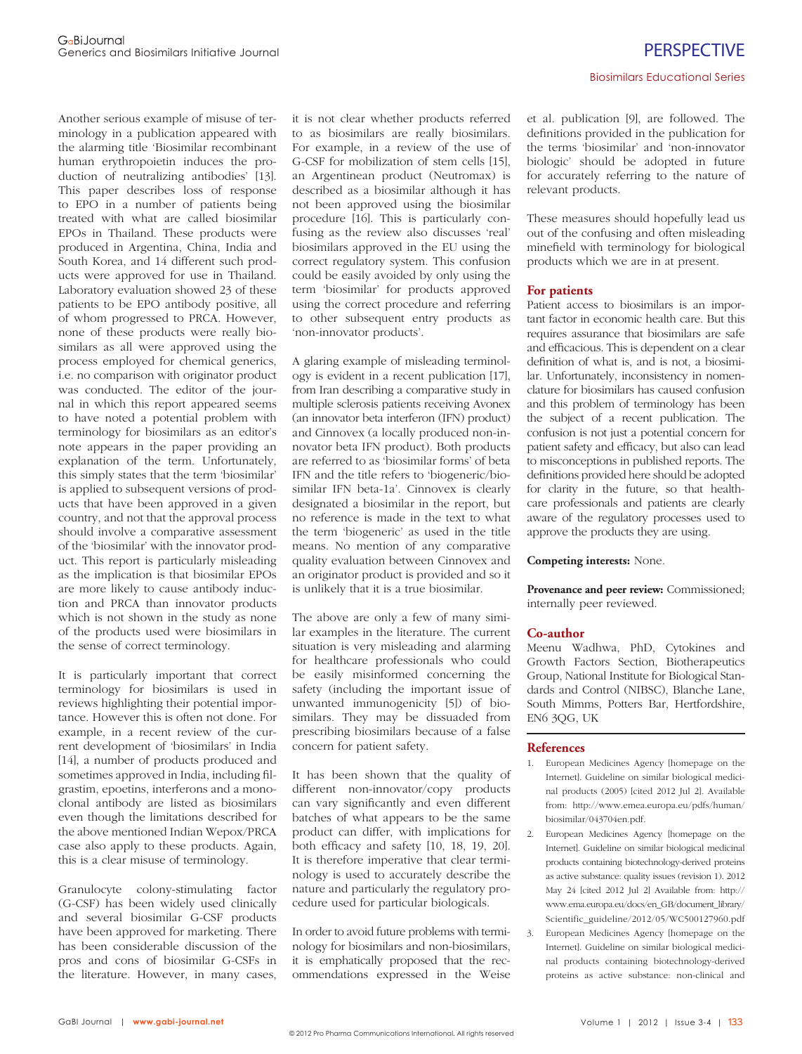Another serious example of misuse of terminology in a publication appeared with the alarming title 'Biosimilar recombinant human erythropoietin induces the production of neutralizing antibodies' [13]. This paper describes loss of response to EPO in a number of patients being treated with what are called biosimilar EPOs in Thailand. These products were produced in Argentina, China, India and South Korea, and 14 different such products were approved for use in Thailand. Laboratory evaluation showed 23 of these patients to be EPO antibody positive, all of whom progressed to PRCA. However, none of these products were really biosimilars as all were approved using the process employed for chemical generics, i.e. no comparison with originator product was conducted. The editor of the journal in which this report appeared seems to have noted a potential problem with terminology for biosimilars as an editor's note appears in the paper providing an explanation of the term. Unfortunately, this simply states that the term 'biosimilar' is applied to subsequent versions of products that have been approved in a given country, and not that the approval process should involve a comparative assessment of the 'biosimilar' with the innovator product. This report is particularly misleading as the implication is that biosimilar EPOs are more likely to cause antibody induction and PRCA than innovator products which is not shown in the study as none of the products used were biosimilars in the sense of correct terminology.

It is particularly important that correct terminology for biosimilars is used in reviews highlighting their potential importance. However this is often not done. For example, in a recent review of the current development of 'biosimilars' in India [14], a number of products produced and sometimes approved in India, including filgrastim, epoetins, interferons and a monoclonal antibody are listed as biosimilars even though the limitations described for the above mentioned Indian Wepox/PRCA case also apply to these products. Again, this is a clear misuse of terminology.

Granulocyte colony-stimulating factor (G-CSF) has been widely used clinically and several biosimilar G-CSF products have been approved for marketing. There has been considerable discussion of the pros and cons of biosimilar G-CSFs in the literature. However, in many cases, it is not clear whether products referred to as biosimilars are really biosimilars. For example, in a review of the use of G-CSF for mobilization of stem cells [15], an Argentinean product (Neutromax) is described as a biosimilar although it has not been approved using the biosimilar procedure [16]. This is particularly confusing as the review also discusses 'real' biosimilars approved in the EU using the correct regulatory system. This confusion could be easily avoided by only using the term 'biosimilar' for products approved using the correct procedure and referring to other subsequent entry products as 'non-innovator products'.

A glaring example of misleading terminology is evident in a recent publication [17], from Iran describing a comparative study in multiple sclerosis patients receiving Avonex (an innovator beta interferon (IFN) product) and Cinnovex (a locally produced non-innovator beta IFN product). Both products are referred to as 'biosimilar forms' of beta IFN and the title refers to 'biogeneric/biosimilar IFN beta-1a'. Cinnovex is clearly designated a biosimilar in the report, but no reference is made in the text to what the term 'biogeneric' as used in the title means. No mention of any comparative quality evaluation between Cinnovex and an originator product is provided and so it is unlikely that it is a true biosimilar.

The above are only a few of many similar examples in the literature. The current situation is very misleading and alarming for healthcare professionals who could be easily misinformed concerning the safety (including the important issue of unwanted immunogenicity [5]) of biosimilars. They may be dissuaded from prescribing biosimilars because of a false concern for patient safety.

It has been shown that the quality of different non-innovator/copy products can vary significantly and even different batches of what appears to be the same product can differ, with implications for both efficacy and safety  $[10, 18, 19, 20]$ . It is therefore imperative that clear terminology is used to accurately describe the nature and particularly the regulatory procedure used for particular biologicals.

In order to avoid future problems with terminology for biosimilars and non-biosimilars, it is emphatically proposed that the recommendations expressed in the Weise et al. publication [9], are followed. The definitions provided in the publication for the terms 'biosimilar' and 'non-innovator biologic' should be adopted in future for accurately referring to the nature of relevant products.

These measures should hopefully lead us out of the confusing and often misleading minefield with terminology for biological products which we are in at present.

#### **For patients**

Patient access to biosimilars is an important factor in economic health care. But this requires assurance that biosimilars are safe and efficacious. This is dependent on a clear definition of what is, and is not, a biosimilar. Unfortunately, inconsistency in nomenclature for biosimilars has caused confusion and this problem of terminology has been the subject of a recent publication. The confusion is not just a potential concern for patient safety and efficacy, but also can lead to misconceptions in published reports. The definitions provided here should be adopted for clarity in the future, so that healthcare professionals and patients are clearly aware of the regulatory processes used to approve the products they are using.

#### **Competing interests:** None.

**Provenance and peer review:** Commissioned; internally peer reviewed.

#### **Co-author**

Meenu Wadhwa, PhD, Cytokines and Growth Factors Section, Biotherapeutics Group, National Institute for Biological Standards and Control (NIBSC), Blanche Lane, South Mimms, Potters Bar, Hertfordshire, EN6 3QG, UK

#### **References**

- 1. European Medicines Agency [homepage on the Internet]. Guideline on similar biological medicinal products (2005) [cited 2012 Jul 2]. Available from: http://www.emea.europa.eu/pdfs/human/ biosimilar/043704en.pdf.
- 2. European Medicines Agency [homepage on the Internet]. Guideline on similar biological medicinal products containing biotechnology-derived proteins as active substance: quality issues (revision 1). 2012 May 24 [cited 2012 Jul 2] Available from: http:// www.ema.europa.eu/docs/en\_GB/document\_library/ Scientific\_guideline/2012/05/WC500127960.pdf
- 3. European Medicines Agency [homepage on the Internet]. Guideline on similar biological medicinal products containing biotechnology-derived proteins as active substance: non-clinical and